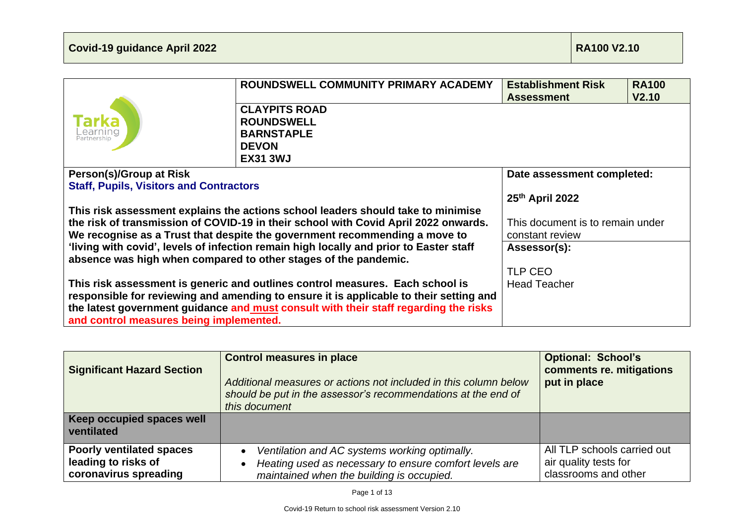|                                                                                                                                 | ROUNDSWELL COMMUNITY PRIMARY ACADEMY                                             | <b>Establishment Risk</b><br><b>Assessment</b> | <b>RA100</b><br>V <sub>2.10</sub> |
|---------------------------------------------------------------------------------------------------------------------------------|----------------------------------------------------------------------------------|------------------------------------------------|-----------------------------------|
|                                                                                                                                 | <b>CLAYPITS ROAD</b>                                                             |                                                |                                   |
|                                                                                                                                 | <b>ROUNDSWELL</b>                                                                |                                                |                                   |
| .earning<br>Partnership                                                                                                         | <b>BARNSTAPLE</b>                                                                |                                                |                                   |
|                                                                                                                                 | <b>DEVON</b>                                                                     |                                                |                                   |
|                                                                                                                                 | <b>EX31 3WJ</b>                                                                  |                                                |                                   |
| Person(s)/Group at Risk                                                                                                         |                                                                                  | Date assessment completed:                     |                                   |
| <b>Staff, Pupils, Visitors and Contractors</b>                                                                                  |                                                                                  |                                                |                                   |
|                                                                                                                                 |                                                                                  | 25th April 2022                                |                                   |
|                                                                                                                                 | This risk assessment explains the actions school leaders should take to minimise |                                                |                                   |
| the risk of transmission of COVID-19 in their school with Covid April 2022 onwards.                                             |                                                                                  | This document is to remain under               |                                   |
| We recognise as a Trust that despite the government recommending a move to                                                      |                                                                                  | constant review                                |                                   |
| 'living with covid', levels of infection remain high locally and prior to Easter staff                                          |                                                                                  | Assessor(s):                                   |                                   |
| absence was high when compared to other stages of the pandemic.                                                                 |                                                                                  |                                                |                                   |
|                                                                                                                                 |                                                                                  | <b>TLP CEO</b>                                 |                                   |
| This risk assessment is generic and outlines control measures. Each school is                                                   |                                                                                  | <b>Head Teacher</b>                            |                                   |
| responsible for reviewing and amending to ensure it is applicable to their setting and                                          |                                                                                  |                                                |                                   |
| the latest government guidance and must consult with their staff regarding the risks<br>and control measures being implemented. |                                                                                  |                                                |                                   |

| <b>Significant Hazard Section</b>                                               | <b>Control measures in place</b><br>Additional measures or actions not included in this column below<br>should be put in the assessor's recommendations at the end of<br>this document | <b>Optional: School's</b><br>comments re. mitigations<br>put in place        |
|---------------------------------------------------------------------------------|----------------------------------------------------------------------------------------------------------------------------------------------------------------------------------------|------------------------------------------------------------------------------|
| Keep occupied spaces well<br>ventilated                                         |                                                                                                                                                                                        |                                                                              |
| <b>Poorly ventilated spaces</b><br>leading to risks of<br>coronavirus spreading | Ventilation and AC systems working optimally.<br>$\bullet$<br>Heating used as necessary to ensure comfort levels are<br>$\bullet$<br>maintained when the building is occupied.         | All TLP schools carried out<br>air quality tests for<br>classrooms and other |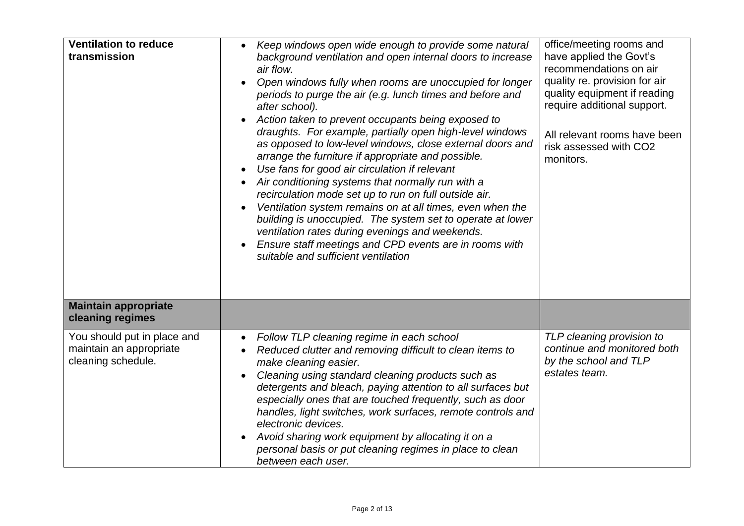| <b>Ventilation to reduce</b><br>transmission                                 | Keep windows open wide enough to provide some natural<br>background ventilation and open internal doors to increase<br>air flow.<br>Open windows fully when rooms are unoccupied for longer<br>periods to purge the air (e.g. lunch times and before and<br>after school).<br>Action taken to prevent occupants being exposed to<br>draughts. For example, partially open high-level windows<br>as opposed to low-level windows, close external doors and<br>arrange the furniture if appropriate and possible.<br>Use fans for good air circulation if relevant<br>$\bullet$<br>Air conditioning systems that normally run with a<br>recirculation mode set up to run on full outside air.<br>Ventilation system remains on at all times, even when the<br>building is unoccupied. The system set to operate at lower<br>ventilation rates during evenings and weekends.<br>Ensure staff meetings and CPD events are in rooms with<br>suitable and sufficient ventilation | office/meeting rooms and<br>have applied the Govt's<br>recommendations on air<br>quality re. provision for air<br>quality equipment if reading<br>require additional support.<br>All relevant rooms have been<br>risk assessed with CO2<br>monitors. |
|------------------------------------------------------------------------------|----------------------------------------------------------------------------------------------------------------------------------------------------------------------------------------------------------------------------------------------------------------------------------------------------------------------------------------------------------------------------------------------------------------------------------------------------------------------------------------------------------------------------------------------------------------------------------------------------------------------------------------------------------------------------------------------------------------------------------------------------------------------------------------------------------------------------------------------------------------------------------------------------------------------------------------------------------------------------|------------------------------------------------------------------------------------------------------------------------------------------------------------------------------------------------------------------------------------------------------|
| <b>Maintain appropriate</b><br>cleaning regimes                              |                                                                                                                                                                                                                                                                                                                                                                                                                                                                                                                                                                                                                                                                                                                                                                                                                                                                                                                                                                            |                                                                                                                                                                                                                                                      |
| You should put in place and<br>maintain an appropriate<br>cleaning schedule. | Follow TLP cleaning regime in each school<br>$\bullet$<br>Reduced clutter and removing difficult to clean items to<br>$\bullet$<br>make cleaning easier.<br>Cleaning using standard cleaning products such as<br>detergents and bleach, paying attention to all surfaces but<br>especially ones that are touched frequently, such as door<br>handles, light switches, work surfaces, remote controls and<br>electronic devices.<br>Avoid sharing work equipment by allocating it on a<br>personal basis or put cleaning regimes in place to clean<br>between each user.                                                                                                                                                                                                                                                                                                                                                                                                    | TLP cleaning provision to<br>continue and monitored both<br>by the school and TLP<br>estates team.                                                                                                                                                   |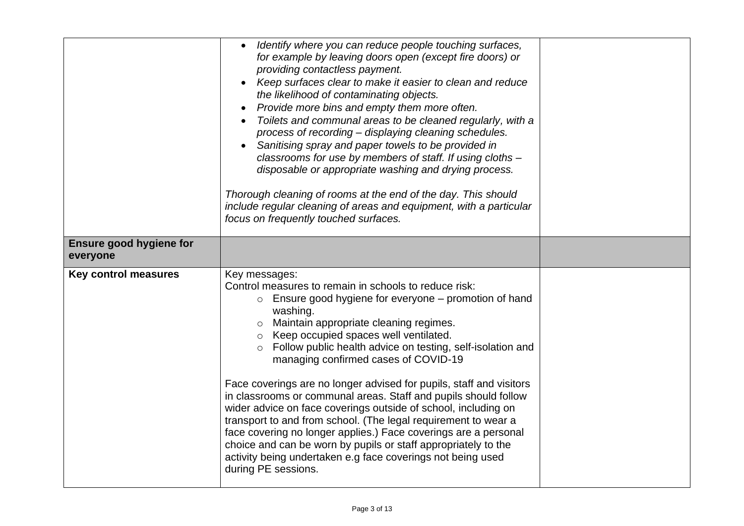|                                            | Identify where you can reduce people touching surfaces,<br>$\bullet$<br>for example by leaving doors open (except fire doors) or<br>providing contactless payment.<br>Keep surfaces clear to make it easier to clean and reduce<br>the likelihood of contaminating objects.<br>Provide more bins and empty them more often.<br>Toilets and communal areas to be cleaned regularly, with a<br>process of recording - displaying cleaning schedules.<br>Sanitising spray and paper towels to be provided in<br>classrooms for use by members of staff. If using cloths -<br>disposable or appropriate washing and drying process.<br>Thorough cleaning of rooms at the end of the day. This should<br>include regular cleaning of areas and equipment, with a particular<br>focus on frequently touched surfaces.                                            |  |
|--------------------------------------------|------------------------------------------------------------------------------------------------------------------------------------------------------------------------------------------------------------------------------------------------------------------------------------------------------------------------------------------------------------------------------------------------------------------------------------------------------------------------------------------------------------------------------------------------------------------------------------------------------------------------------------------------------------------------------------------------------------------------------------------------------------------------------------------------------------------------------------------------------------|--|
| <b>Ensure good hygiene for</b><br>everyone |                                                                                                                                                                                                                                                                                                                                                                                                                                                                                                                                                                                                                                                                                                                                                                                                                                                            |  |
| <b>Key control measures</b>                | Key messages:<br>Control measures to remain in schools to reduce risk:<br>$\circ$ Ensure good hygiene for everyone – promotion of hand<br>washing.<br>o Maintain appropriate cleaning regimes.<br>o Keep occupied spaces well ventilated.<br>o Follow public health advice on testing, self-isolation and<br>managing confirmed cases of COVID-19<br>Face coverings are no longer advised for pupils, staff and visitors<br>in classrooms or communal areas. Staff and pupils should follow<br>wider advice on face coverings outside of school, including on<br>transport to and from school. (The legal requirement to wear a<br>face covering no longer applies.) Face coverings are a personal<br>choice and can be worn by pupils or staff appropriately to the<br>activity being undertaken e.g face coverings not being used<br>during PE sessions. |  |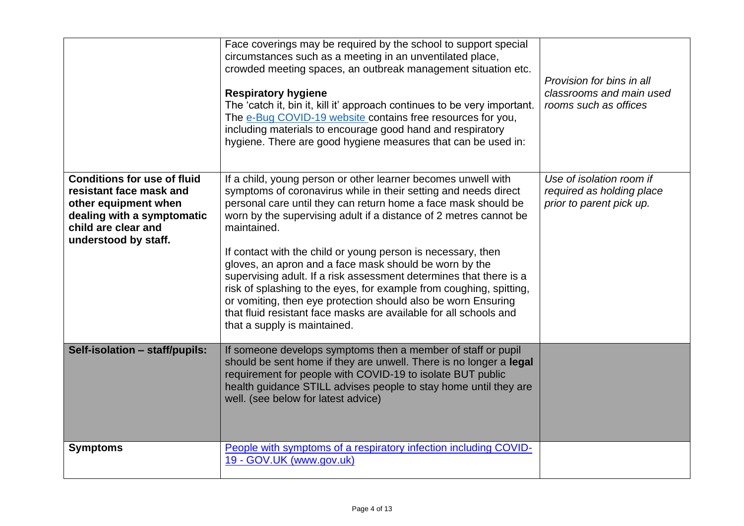|                                                                                                                                                                    | Face coverings may be required by the school to support special<br>circumstances such as a meeting in an unventilated place,<br>crowded meeting spaces, an outbreak management situation etc.<br><b>Respiratory hygiene</b><br>The 'catch it, bin it, kill it' approach continues to be very important.<br>The e-Bug COVID-19 website contains free resources for you,<br>including materials to encourage good hand and respiratory<br>hygiene. There are good hygiene measures that can be used in:                                                                                                                                                                                                                               | Provision for bins in all<br>classrooms and main used<br>rooms such as offices    |
|--------------------------------------------------------------------------------------------------------------------------------------------------------------------|-------------------------------------------------------------------------------------------------------------------------------------------------------------------------------------------------------------------------------------------------------------------------------------------------------------------------------------------------------------------------------------------------------------------------------------------------------------------------------------------------------------------------------------------------------------------------------------------------------------------------------------------------------------------------------------------------------------------------------------|-----------------------------------------------------------------------------------|
| <b>Conditions for use of fluid</b><br>resistant face mask and<br>other equipment when<br>dealing with a symptomatic<br>child are clear and<br>understood by staff. | If a child, young person or other learner becomes unwell with<br>symptoms of coronavirus while in their setting and needs direct<br>personal care until they can return home a face mask should be<br>worn by the supervising adult if a distance of 2 metres cannot be<br>maintained.<br>If contact with the child or young person is necessary, then<br>gloves, an apron and a face mask should be worn by the<br>supervising adult. If a risk assessment determines that there is a<br>risk of splashing to the eyes, for example from coughing, spitting,<br>or vomiting, then eye protection should also be worn Ensuring<br>that fluid resistant face masks are available for all schools and<br>that a supply is maintained. | Use of isolation room if<br>required as holding place<br>prior to parent pick up. |
| Self-isolation - staff/pupils:                                                                                                                                     | If someone develops symptoms then a member of staff or pupil<br>should be sent home if they are unwell. There is no longer a legal<br>requirement for people with COVID-19 to isolate BUT public<br>health guidance STILL advises people to stay home until they are<br>well. (see below for latest advice)                                                                                                                                                                                                                                                                                                                                                                                                                         |                                                                                   |
| <b>Symptoms</b>                                                                                                                                                    | People with symptoms of a respiratory infection including COVID-<br>19 - GOV.UK (www.gov.uk)                                                                                                                                                                                                                                                                                                                                                                                                                                                                                                                                                                                                                                        |                                                                                   |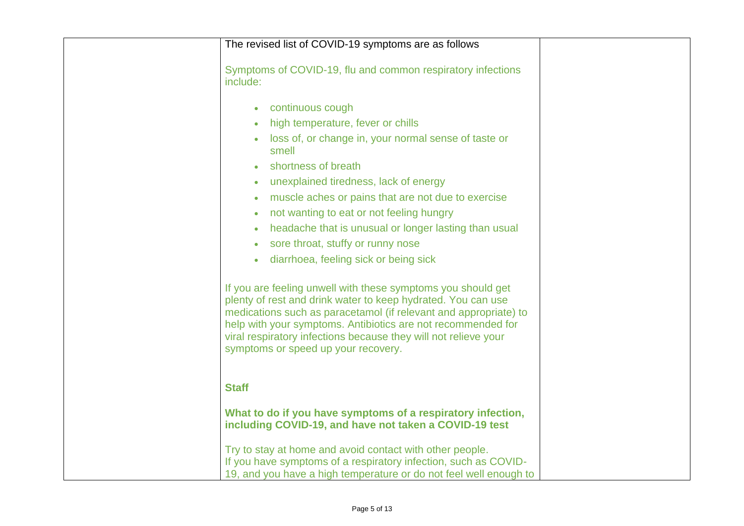| The revised list of COVID-19 symptoms are as follows                                                                                                                                                                                                                                                                                                                       |
|----------------------------------------------------------------------------------------------------------------------------------------------------------------------------------------------------------------------------------------------------------------------------------------------------------------------------------------------------------------------------|
| Symptoms of COVID-19, flu and common respiratory infections<br>include:                                                                                                                                                                                                                                                                                                    |
| • continuous cough<br>high temperature, fever or chills<br>loss of, or change in, your normal sense of taste or<br>smell<br>shortness of breath<br>unexplained tiredness, lack of energy<br>muscle aches or pains that are not due to exercise<br>not wanting to eat or not feeling hungry                                                                                 |
| headache that is unusual or longer lasting than usual<br>sore throat, stuffy or runny nose<br>diarrhoea, feeling sick or being sick                                                                                                                                                                                                                                        |
| If you are feeling unwell with these symptoms you should get<br>plenty of rest and drink water to keep hydrated. You can use<br>medications such as paracetamol (if relevant and appropriate) to<br>help with your symptoms. Antibiotics are not recommended for<br>viral respiratory infections because they will not relieve your<br>symptoms or speed up your recovery. |
| <b>Staff</b>                                                                                                                                                                                                                                                                                                                                                               |
| What to do if you have symptoms of a respiratory infection,<br>including COVID-19, and have not taken a COVID-19 test                                                                                                                                                                                                                                                      |
| Try to stay at home and avoid contact with other people.<br>If you have symptoms of a respiratory infection, such as COVID-<br>19, and you have a high temperature or do not feel well enough to                                                                                                                                                                           |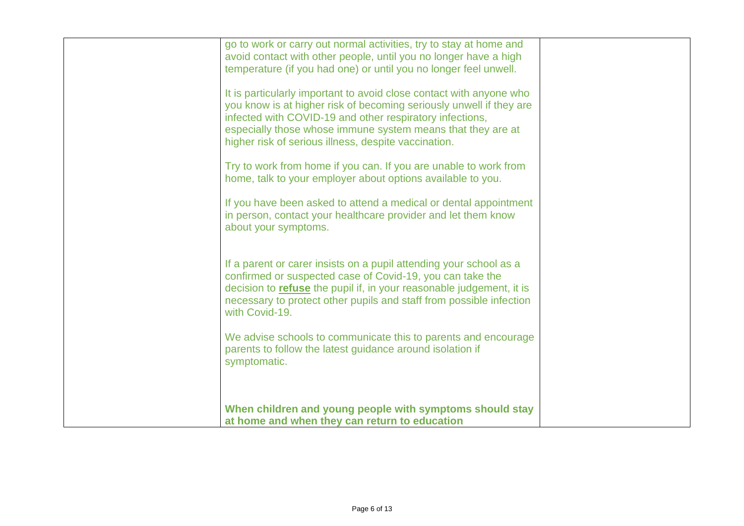| go to work or carry out normal activities, try to stay at home and<br>avoid contact with other people, until you no longer have a high<br>temperature (if you had one) or until you no longer feel unwell.<br>It is particularly important to avoid close contact with anyone who<br>you know is at higher risk of becoming seriously unwell if they are<br>infected with COVID-19 and other respiratory infections,<br>especially those whose immune system means that they are at<br>higher risk of serious illness, despite vaccination.<br>Try to work from home if you can. If you are unable to work from<br>home, talk to your employer about options available to you.<br>If you have been asked to attend a medical or dental appointment<br>in person, contact your healthcare provider and let them know<br>about your symptoms. |  |
|---------------------------------------------------------------------------------------------------------------------------------------------------------------------------------------------------------------------------------------------------------------------------------------------------------------------------------------------------------------------------------------------------------------------------------------------------------------------------------------------------------------------------------------------------------------------------------------------------------------------------------------------------------------------------------------------------------------------------------------------------------------------------------------------------------------------------------------------|--|
| If a parent or carer insists on a pupil attending your school as a<br>confirmed or suspected case of Covid-19, you can take the<br>decision to <b>refuse</b> the pupil if, in your reasonable judgement, it is<br>necessary to protect other pupils and staff from possible infection<br>with Covid-19.<br>We advise schools to communicate this to parents and encourage<br>parents to follow the latest guidance around isolation if<br>symptomatic.<br>When children and young people with symptoms should stay<br>at home and when they can return to education                                                                                                                                                                                                                                                                         |  |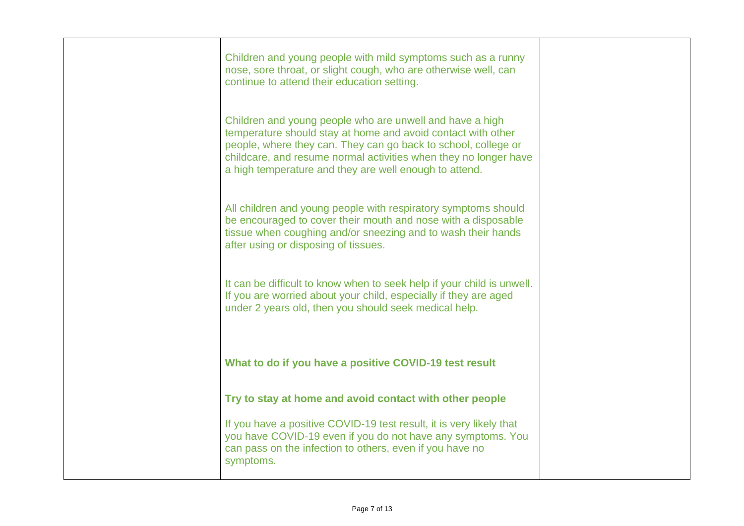| Children and young people with mild symptoms such as a runny<br>nose, sore throat, or slight cough, who are otherwise well, can<br>continue to attend their education setting.                                                                                                                                           |  |
|--------------------------------------------------------------------------------------------------------------------------------------------------------------------------------------------------------------------------------------------------------------------------------------------------------------------------|--|
| Children and young people who are unwell and have a high<br>temperature should stay at home and avoid contact with other<br>people, where they can. They can go back to school, college or<br>childcare, and resume normal activities when they no longer have<br>a high temperature and they are well enough to attend. |  |
| All children and young people with respiratory symptoms should<br>be encouraged to cover their mouth and nose with a disposable<br>tissue when coughing and/or sneezing and to wash their hands<br>after using or disposing of tissues.                                                                                  |  |
| It can be difficult to know when to seek help if your child is unwell.<br>If you are worried about your child, especially if they are aged<br>under 2 years old, then you should seek medical help.                                                                                                                      |  |
| What to do if you have a positive COVID-19 test result                                                                                                                                                                                                                                                                   |  |
| Try to stay at home and avoid contact with other people                                                                                                                                                                                                                                                                  |  |
| If you have a positive COVID-19 test result, it is very likely that<br>you have COVID-19 even if you do not have any symptoms. You<br>can pass on the infection to others, even if you have no<br>symptoms.                                                                                                              |  |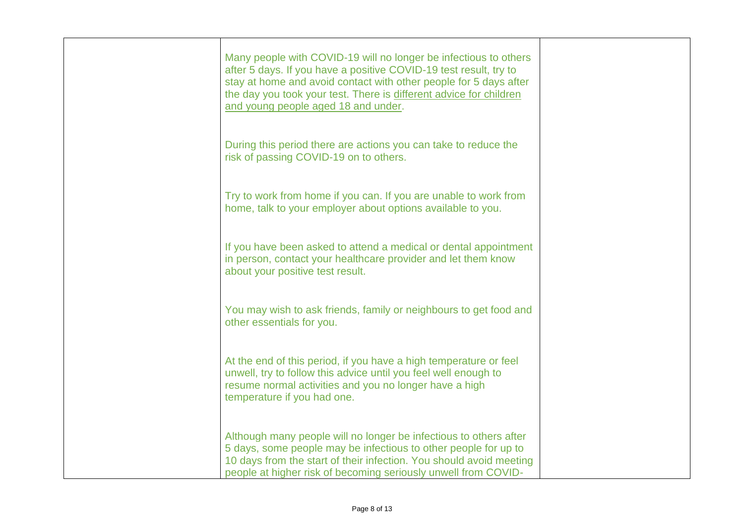| Many people with COVID-19 will no longer be infectious to others<br>after 5 days. If you have a positive COVID-19 test result, try to<br>stay at home and avoid contact with other people for 5 days after<br>the day you took your test. There is different advice for children<br>and young people aged 18 and under. |  |
|-------------------------------------------------------------------------------------------------------------------------------------------------------------------------------------------------------------------------------------------------------------------------------------------------------------------------|--|
| During this period there are actions you can take to reduce the<br>risk of passing COVID-19 on to others.                                                                                                                                                                                                               |  |
| Try to work from home if you can. If you are unable to work from<br>home, talk to your employer about options available to you.                                                                                                                                                                                         |  |
| If you have been asked to attend a medical or dental appointment<br>in person, contact your healthcare provider and let them know<br>about your positive test result.                                                                                                                                                   |  |
| You may wish to ask friends, family or neighbours to get food and<br>other essentials for you.                                                                                                                                                                                                                          |  |
| At the end of this period, if you have a high temperature or feel<br>unwell, try to follow this advice until you feel well enough to<br>resume normal activities and you no longer have a high<br>temperature if you had one.                                                                                           |  |
| Although many people will no longer be infectious to others after<br>5 days, some people may be infectious to other people for up to<br>10 days from the start of their infection. You should avoid meeting<br>people at higher risk of becoming seriously unwell from COVID-                                           |  |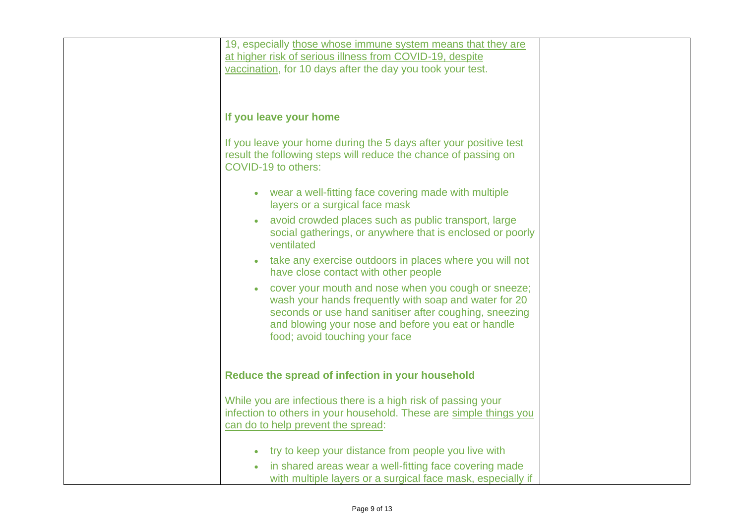| 19, especially those whose immune system means that they are<br>at higher risk of serious illness from COVID-19, despite<br>vaccination, for 10 days after the day you took your test.                                                                         |
|----------------------------------------------------------------------------------------------------------------------------------------------------------------------------------------------------------------------------------------------------------------|
|                                                                                                                                                                                                                                                                |
| If you leave your home                                                                                                                                                                                                                                         |
| If you leave your home during the 5 days after your positive test<br>result the following steps will reduce the chance of passing on<br>COVID-19 to others:                                                                                                    |
| • wear a well-fitting face covering made with multiple<br>layers or a surgical face mask                                                                                                                                                                       |
| avoid crowded places such as public transport, large<br>social gatherings, or anywhere that is enclosed or poorly<br>ventilated                                                                                                                                |
| take any exercise outdoors in places where you will not<br>have close contact with other people                                                                                                                                                                |
| cover your mouth and nose when you cough or sneeze;<br>wash your hands frequently with soap and water for 20<br>seconds or use hand sanitiser after coughing, sneezing<br>and blowing your nose and before you eat or handle<br>food; avoid touching your face |
| Reduce the spread of infection in your household                                                                                                                                                                                                               |
| While you are infectious there is a high risk of passing your<br>infection to others in your household. These are simple things you<br>can do to help prevent the spread:                                                                                      |
| try to keep your distance from people you live with                                                                                                                                                                                                            |
| in shared areas wear a well-fitting face covering made<br>with multiple layers or a surgical face mask, especially if                                                                                                                                          |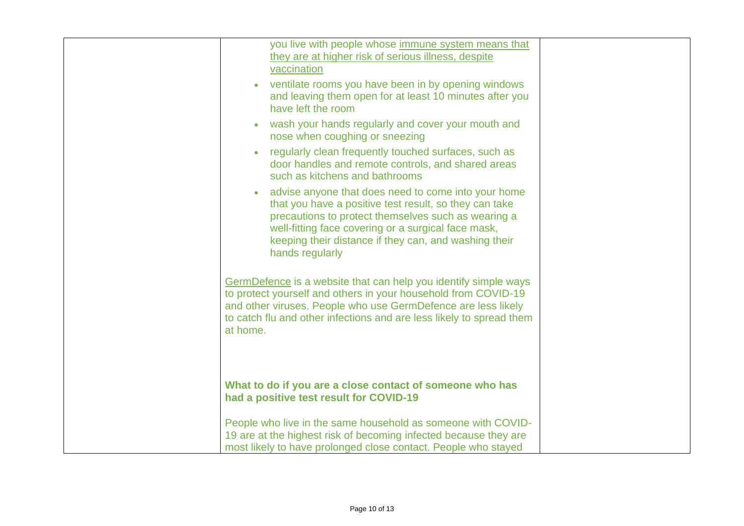| you live with people whose immune system means that<br>they are at higher risk of serious illness, despite<br>vaccination                                                                                                                                                                               |
|---------------------------------------------------------------------------------------------------------------------------------------------------------------------------------------------------------------------------------------------------------------------------------------------------------|
| ventilate rooms you have been in by opening windows<br>and leaving them open for at least 10 minutes after you<br>have left the room                                                                                                                                                                    |
| wash your hands regularly and cover your mouth and<br>nose when coughing or sneezing                                                                                                                                                                                                                    |
| regularly clean frequently touched surfaces, such as<br>door handles and remote controls, and shared areas<br>such as kitchens and bathrooms                                                                                                                                                            |
| advise anyone that does need to come into your home<br>that you have a positive test result, so they can take<br>precautions to protect themselves such as wearing a<br>well-fitting face covering or a surgical face mask,<br>keeping their distance if they can, and washing their<br>hands regularly |
| GermDefence is a website that can help you identify simple ways<br>to protect yourself and others in your household from COVID-19<br>and other viruses. People who use GermDefence are less likely<br>to catch flu and other infections and are less likely to spread them<br>at home.                  |
| What to do if you are a close contact of someone who has<br>had a positive test result for COVID-19                                                                                                                                                                                                     |
| People who live in the same household as someone with COVID-<br>19 are at the highest risk of becoming infected because they are<br>most likely to have prolonged close contact. People who stayed                                                                                                      |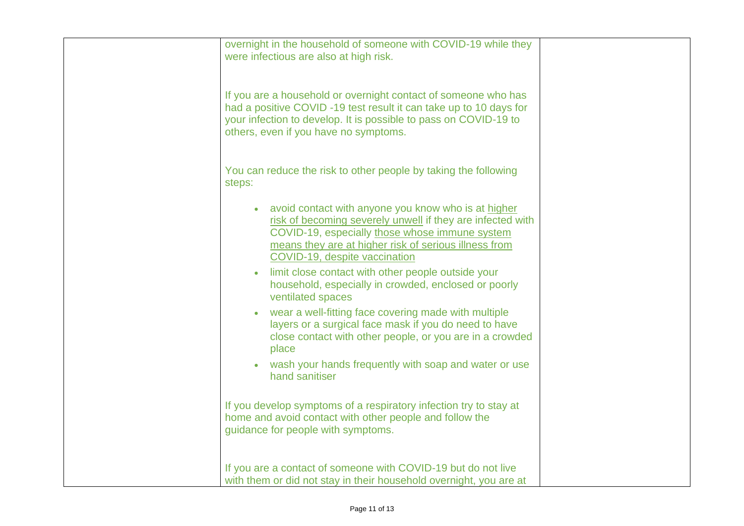| overnight in the household of someone with COVID-19 while they<br>were infectious are also at high risk.                                                                                                                                                                                                                                                                                                                                                                                                                                                                                                                                                            |
|---------------------------------------------------------------------------------------------------------------------------------------------------------------------------------------------------------------------------------------------------------------------------------------------------------------------------------------------------------------------------------------------------------------------------------------------------------------------------------------------------------------------------------------------------------------------------------------------------------------------------------------------------------------------|
| If you are a household or overnight contact of someone who has<br>had a positive COVID -19 test result it can take up to 10 days for<br>your infection to develop. It is possible to pass on COVID-19 to<br>others, even if you have no symptoms.                                                                                                                                                                                                                                                                                                                                                                                                                   |
| You can reduce the risk to other people by taking the following<br>steps:                                                                                                                                                                                                                                                                                                                                                                                                                                                                                                                                                                                           |
| • avoid contact with anyone you know who is at higher<br>risk of becoming severely unwell if they are infected with<br>COVID-19, especially those whose immune system<br>means they are at higher risk of serious illness from<br>COVID-19, despite vaccination<br>limit close contact with other people outside your<br>household, especially in crowded, enclosed or poorly<br>ventilated spaces<br>wear a well-fitting face covering made with multiple<br>layers or a surgical face mask if you do need to have<br>close contact with other people, or you are in a crowded<br>place<br>wash your hands frequently with soap and water or use<br>hand sanitiser |
| If you develop symptoms of a respiratory infection try to stay at<br>home and avoid contact with other people and follow the<br>guidance for people with symptoms.                                                                                                                                                                                                                                                                                                                                                                                                                                                                                                  |
| If you are a contact of someone with COVID-19 but do not live<br>with them or did not stay in their household overnight, you are at                                                                                                                                                                                                                                                                                                                                                                                                                                                                                                                                 |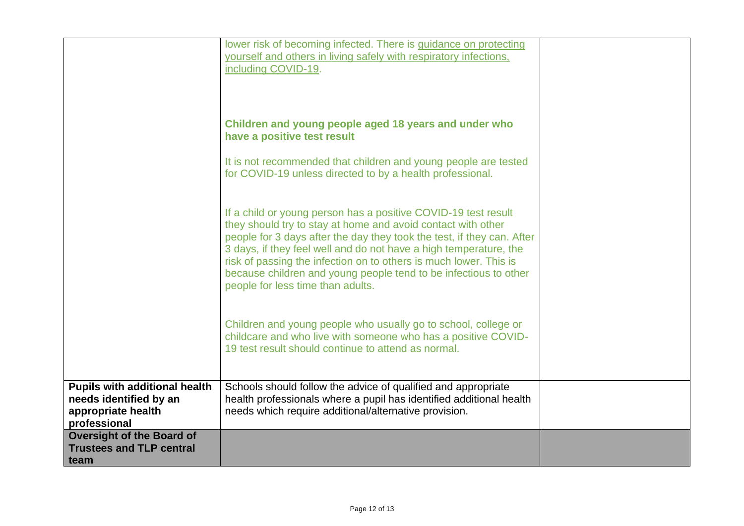|                                                                                      | lower risk of becoming infected. There is guidance on protecting                                                                                                                                                                                                                                                                                                                                                                                            |  |
|--------------------------------------------------------------------------------------|-------------------------------------------------------------------------------------------------------------------------------------------------------------------------------------------------------------------------------------------------------------------------------------------------------------------------------------------------------------------------------------------------------------------------------------------------------------|--|
|                                                                                      | yourself and others in living safely with respiratory infections,<br>including COVID-19.                                                                                                                                                                                                                                                                                                                                                                    |  |
|                                                                                      |                                                                                                                                                                                                                                                                                                                                                                                                                                                             |  |
|                                                                                      |                                                                                                                                                                                                                                                                                                                                                                                                                                                             |  |
|                                                                                      | Children and young people aged 18 years and under who<br>have a positive test result                                                                                                                                                                                                                                                                                                                                                                        |  |
|                                                                                      | It is not recommended that children and young people are tested<br>for COVID-19 unless directed to by a health professional.                                                                                                                                                                                                                                                                                                                                |  |
|                                                                                      | If a child or young person has a positive COVID-19 test result<br>they should try to stay at home and avoid contact with other<br>people for 3 days after the day they took the test, if they can. After<br>3 days, if they feel well and do not have a high temperature, the<br>risk of passing the infection on to others is much lower. This is<br>because children and young people tend to be infectious to other<br>people for less time than adults. |  |
|                                                                                      | Children and young people who usually go to school, college or<br>childcare and who live with someone who has a positive COVID-<br>19 test result should continue to attend as normal.                                                                                                                                                                                                                                                                      |  |
| <b>Pupils with additional health</b><br>needs identified by an<br>appropriate health | Schools should follow the advice of qualified and appropriate<br>health professionals where a pupil has identified additional health<br>needs which require additional/alternative provision.                                                                                                                                                                                                                                                               |  |
| professional                                                                         |                                                                                                                                                                                                                                                                                                                                                                                                                                                             |  |
| <b>Oversight of the Board of</b>                                                     |                                                                                                                                                                                                                                                                                                                                                                                                                                                             |  |
| <b>Trustees and TLP central</b>                                                      |                                                                                                                                                                                                                                                                                                                                                                                                                                                             |  |
| team                                                                                 |                                                                                                                                                                                                                                                                                                                                                                                                                                                             |  |